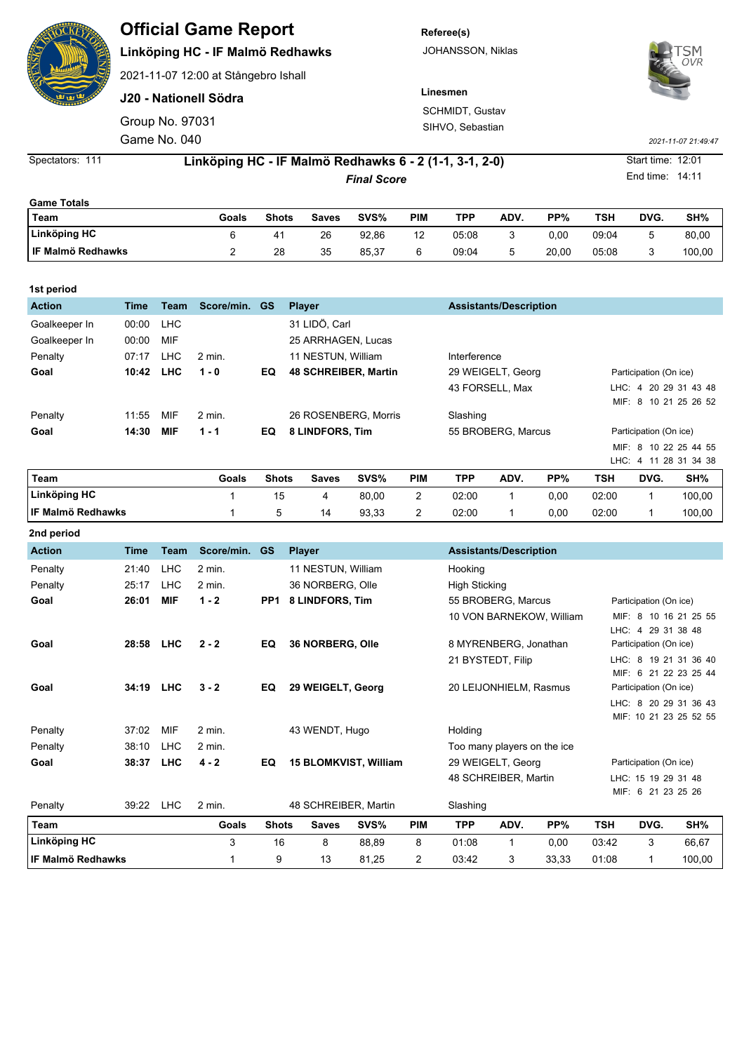| <b>Constantinent</b> | <b>Official Game Report</b> |  |  |  |
|----------------------|-----------------------------|--|--|--|
|----------------------|-----------------------------|--|--|--|

## **Linköping HC - IF Malmö Redhawks**

2021-11-07 12:00 at Stångebro Ishall

**J20 - Nationell Södra**

Game No. 040 Group No. 97031 **Referee(s)** JOHANSSON, Niklas

**Linesmen**

SCHMIDT, Gustav SIHVO, Sebastian



*2021-11-07 21:49:47*

Spectators: 111 **Linköping HC - IF Malmö Redhawks 6 - 2 (1-1, 3-1, 2-0)** Start time: 12:01

| <b>Game Totals</b>  |       |                |       |       |            |       |      |       |       |      |        |
|---------------------|-------|----------------|-------|-------|------------|-------|------|-------|-------|------|--------|
| Team                | Goals | <b>Shots</b>   | Saves | SVS%  | <b>PIM</b> | TPP   | ADV. | PP%   | TSH   | DVG. | SH%    |
| <b>Linköping HC</b> |       | 4 <sup>1</sup> | 26    | 92.86 | 12         | 05.08 |      | 0.00  | 09:04 |      | 80.00  |
| I IF Malmö Redhawks |       | 28             | 35    | 85.37 | 6          | 09:04 | 5    | 20.00 | 05:08 |      | 100,00 |

| 1st period    |       |            |            |              |                             |            |                    |                               |     |                        |                        |                       |  |
|---------------|-------|------------|------------|--------------|-----------------------------|------------|--------------------|-------------------------------|-----|------------------------|------------------------|-----------------------|--|
| <b>Action</b> | Time  | Team       | Score/min. | <b>GS</b>    | <b>Player</b>               |            |                    | <b>Assistants/Description</b> |     |                        |                        |                       |  |
| Goalkeeper In | 00:00 | <b>LHC</b> |            |              | 31 LIDÖ, Carl               |            |                    |                               |     |                        |                        |                       |  |
| Goalkeeper In | 00:00 | MIF        |            |              | 25 ARRHAGEN, Lucas          |            |                    |                               |     |                        |                        |                       |  |
| Penalty       | 07:17 | <b>LHC</b> | $2$ min.   |              | 11 NESTUN, William          |            | Interference       |                               |     |                        |                        |                       |  |
| Goal          | 10:42 | <b>LHC</b> | $1 - 0$    | EQ.          | <b>48 SCHREIBER, Martin</b> |            |                    | 29 WEIGELT, Georg             |     |                        | Participation (On ice) |                       |  |
|               |       |            |            |              |                             |            |                    | 43 FORSELL, Max               |     |                        |                        | LHC: 4 20 29 31 43 48 |  |
|               |       |            |            |              |                             |            |                    |                               |     |                        |                        | MIF: 8 10 21 25 26 52 |  |
| Penalty       | 11:55 | MIF        | 2 min.     |              | 26 ROSENBERG, Morris        |            | Slashing           |                               |     |                        |                        |                       |  |
| Goal          | 14:30 | <b>MIF</b> | $1 - 1$    | EQ           | 8 LINDFORS, Tim             |            | 55 BROBERG, Marcus |                               |     | Participation (On ice) |                        |                       |  |
|               |       |            |            |              |                             |            |                    |                               |     |                        |                        | MIF: 8 10 22 25 44 55 |  |
|               |       |            |            |              |                             |            |                    |                               |     |                        |                        | LHC: 4 11 28 31 34 38 |  |
| l Team        |       |            | Goals      | <b>Shots</b> | SVS%<br><b>Saves</b>        | <b>PIM</b> | TPP                | ADV.                          | PP% | TSH                    | DVG.                   | SH%                   |  |

| Team                     | Goals | <b>Shots</b> | Saves | SVS%  | PIM | TPP   | ADV. | PP%  | TSH   | DVG. | SH%    |
|--------------------------|-------|--------------|-------|-------|-----|-------|------|------|-------|------|--------|
| Linköping HC             |       | 15           | 4     | 80.00 | _   | 02:00 |      | 0.00 | 02:00 |      | 100.00 |
| <b>IF Malmö Redhawks</b> |       |              | 14    | 93,33 |     | 02:00 |      | 0.00 | 02:00 |      | 100,00 |
| 2nd period               |       |              |       |       |     |       |      |      |       |      |        |

| <b>Action</b>       | Time      | Team       | Score/min. | <b>GS</b>       | <b>Player</b>                |       |            |                        | <b>Assistants/Description</b> |                          |                        |                        |                                                |  |
|---------------------|-----------|------------|------------|-----------------|------------------------------|-------|------------|------------------------|-------------------------------|--------------------------|------------------------|------------------------|------------------------------------------------|--|
| Penalty             | 21:40     | <b>LHC</b> | 2 min.     |                 | 11 NESTUN, William           |       |            | Hooking                |                               |                          |                        |                        |                                                |  |
| Penalty             | 25:17     | <b>LHC</b> | 2 min.     |                 | 36 NORBERG, Olle             |       |            | <b>High Sticking</b>   |                               |                          |                        |                        |                                                |  |
| Goal                | 26:01     | <b>MIF</b> | $1 - 2$    | PP <sub>1</sub> | 8 LINDFORS, Tim              |       |            |                        | 55 BROBERG, Marcus            |                          |                        | Participation (On ice) |                                                |  |
|                     |           |            |            |                 |                              |       |            |                        |                               | 10 VON BARNEKOW, William |                        | LHC: 4 29 31 38 48     | MIF: 8 10 16 21 25 55                          |  |
| Goal                | 28:58 LHC |            | $2 - 2$    | EQ              | 36 NORBERG, Olle             |       |            | 8 MYRENBERG, Jonathan  |                               |                          | Participation (On ice) |                        |                                                |  |
|                     |           |            |            |                 |                              |       |            |                        | 21 BYSTEDT, Filip             |                          |                        |                        | LHC: 8 19 21 31 36 40<br>MIF: 6 21 22 23 25 44 |  |
| Goal                | 34:19 LHC |            | $3 - 2$    | EQ              | 29 WEIGELT, Georg            |       |            | 20 LEIJONHIELM, Rasmus |                               |                          | Participation (On ice) |                        |                                                |  |
|                     |           |            |            |                 |                              |       |            |                        |                               |                          |                        |                        | LHC: 8 20 29 31 36 43                          |  |
|                     |           |            |            |                 |                              |       |            |                        |                               |                          |                        |                        | MIF: 10 21 23 25 52 55                         |  |
| Penalty             | 37:02     | MIF        | $2$ min.   |                 | 43 WENDT, Hugo               |       |            | Holding                |                               |                          |                        |                        |                                                |  |
| Penalty             | 38:10     | LHC        | $2$ min.   |                 |                              |       |            |                        | Too many players on the ice   |                          |                        |                        |                                                |  |
| Goal                | 38:37     | <b>LHC</b> | $4 - 2$    | EQ              | <b>15 BLOMKVIST, William</b> |       |            |                        | 29 WEIGELT, Georg             |                          | Participation (On ice) |                        |                                                |  |
|                     |           |            |            |                 |                              |       |            |                        | 48 SCHREIBER, Martin          |                          |                        | LHC: 15 19 29 31 48    |                                                |  |
|                     |           |            |            |                 |                              |       |            |                        |                               |                          |                        | MIF: 6 21 23 25 26     |                                                |  |
| Penalty             | 39:22 LHC |            | 2 min.     |                 | 48 SCHREIBER, Martin         |       |            | Slashing               |                               |                          |                        |                        |                                                |  |
| Team                |           |            | Goals      | <b>Shots</b>    | <b>Saves</b>                 | SVS%  | <b>PIM</b> | <b>TPP</b>             | ADV.                          | PP%                      | <b>TSH</b>             | DVG.                   | SH%                                            |  |
| Linköping HC        |           |            | 3          | 16              | 8                            | 88,89 | 8          | 01:08                  | $\mathbf{1}$                  | 0,00                     | 03:42                  | 3                      | 66,67                                          |  |
| l IF Malmö Redhawks |           |            | 1          | 9               | 13                           | 81,25 | 2          | 03:42                  | 3                             | 33,33                    | 01:08                  | 1                      | 100,00                                         |  |

End time: 14:11

*Final Score*